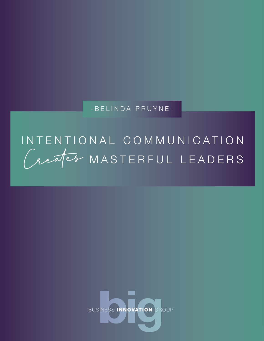- B E L I N D A P R U Y N E -

# Creates INTENTIONAL COMMUNICATION MASTERFUL LEADERS



Belinda Pruyne | www.BusinessInnovationGroup.com | Info@BusinessInnovationGroup.com | 646-450-4244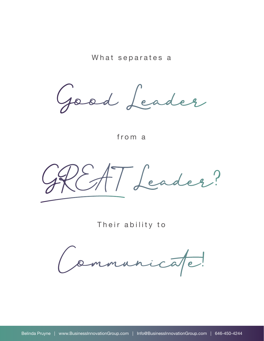What separates a

Good Leader

from a

GREAT Leader?

Their ability to

Communicate!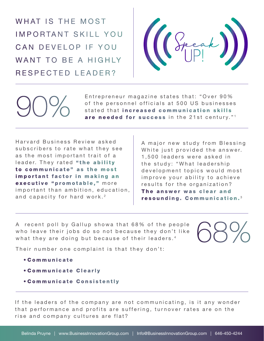WHAT IS THE MOST IMPORTANT SKILL YOU CAN DEVELOP IF YOU WANT TO BE A HIGHIY RESPECTED LEADER?



Entrepreneur magazine states that: "Over 90% of the personnel officials at 500 US businesses stated that increased communication skills Entrepreneur magazine states that: "Over 90%<br>of the personnel officials at 500 US businesses<br>stated that **increased communication skills**<br>are needed for success in the 21st century."<sup>1</sup>

Harvard Business Review asked subscribers to rate what they see as the most important trait of a leader. They rated "the ability to communicate" as the most important factor in making an executive "promotable," more important than ambition, education, and capacity for hard work.<sup>2</sup>

A major new study from Blessing White just provided the answer. 1,500 leaders were asked in the study: "What leadership development topics would most improve your ability to achieve results for the organization? The answer was clear and resounding. Communication. <sup>3</sup>

A recent poll by Gallup showa that 68% of the people who leave their jobs do so not because they don't like what they are doing but because of their leaders.<sup>4</sup>

68%

Their number one complaint is that they don't:

- C o m m u n i c a t e
- **Communicate Clearly**
- **Communicate Consistently**

If the leaders of the company are not communicating, is it any wonder that performance and profits are suffering, turnover rates are on the rise and company cultures are flat?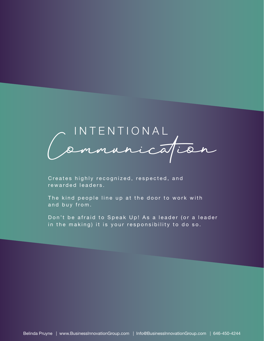

Creates highly recognized, respected, and rewarded leaders.

The kind people line up at the door to work with and buy from.

Don't be afraid to Speak Up! As a leader (or a leader in the making) it is your responsibility to do so.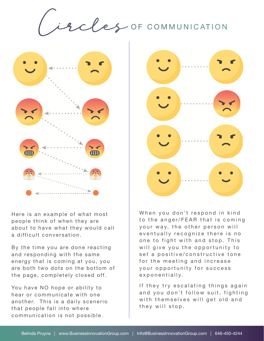9 cles OF COMMUNICATION



Here is an example of what most people think of when they are about to have what they would call a difficult conversation.

By the time you are done reacting and responding with the same energy that is coming at you, you are both two dots on the bottom of the page, completely closed off.

You have NO hope or ability to hear or communicate with one another. This is a daily scenerio that people fall into where communication is not possible.



When you don't respond in kind to the anger/FEAR that is coming your way, the other person will eventually recognize there is no one to fight with and stop. This will give you the opportunity to set a positive/constructive tone for the meeting and increase your opportunity for success exponentially.

If they try escalating things again and you don't follow suit, fighting with themselves will get old and they will stop.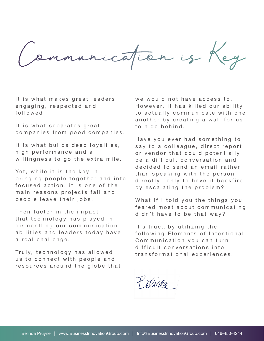Communication is Key

It is what makes great leaders engaging, respected and f o l l o w e d .

It is what separates great companies from good companies.

It is what builds deep loyalties, high performance and a willingness to go the extra mile.

Yet, while it is the key in bringing people together and into focused action, it is one of the main reasons projects fail and people leave their jobs.

Then factor in the impact that technology has played in dismantling our communication abilities and leaders today have a real challenge.

Truly, technology has allowed us to connect with people and resources around the globe that we would not have access to. However, it has killed our ability to actually communicate with one an o ther by creating a wall for us to hide behind.

Have you ever had something to say to a colleague, direct report or vendor that could potentially be a difficult conversation and decided to send an email rather than speaking with the person directly... only to have it backfire by escalating the problem?

What if I told you the things you feared most about communicating didn't have to be that way?

It's true...by utilizing the following Elements of Intentional Communication you can turn difficult conversations into transformational experiences.

Dinea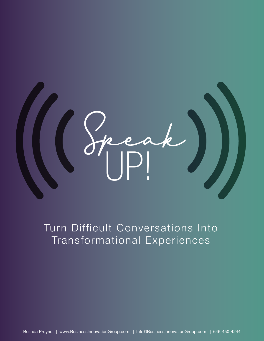

# Turn Difficult Conversations Into Transformational Experiences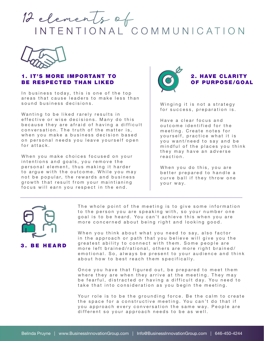



## **1. IT'S MORE IMPORTANT TO** BE RESPECTED THAN LIKED

In business today, this is one of the top areas that cause leaders to make less than sound business decisions.

Wanting to be liked rarely results in effective or wise decisions. Many do this because they are afraid of having a difficult conversation. The truth of the matter is, when you make a business decision based on personal needs you leave yourself open for attack.

When you make choices focused on your intentions and goals, you remove the personal element, thus making it harder to argue with the outcome. While you may not be popular, the rewards and business growth that result from your maintianing focus will earn you respect in the end.



Winging it is not a strategy for success, preparation is.

Have a clear focus and outcome identified for the meeting. Create notes for yourself, practice what it is you want/need to say and be mindful of the places you think they may have an adverse reaction.

When you do this, you are better prepared to handle a curve ball if they throw one your way.



The whole point of the meeting is to give some information to the person you are speaking with, so your number one goal is to be heard. You can't achieve this when you are more concerned about being right and looking good.

When you think about what you need to say, also factor in the approach or path that you believe will give you the greatest ability to connect with them. Some people are more left brained/rational, others are more right brained/ emotional. So, always be present to your audience and think about how to best reach them specifically.

Once you have that figured out, be prepared to meet them where they are when they arrive at the meeting. They may be fearful, distracted or having a difficult day. You need to take that into consideration as you begin the meeting.

Your role is to be the grounding force. Be the calm to create the space for a constructive meeting. You can't do that if you approach every conversation the same way. People are different so your approach needs to be as well.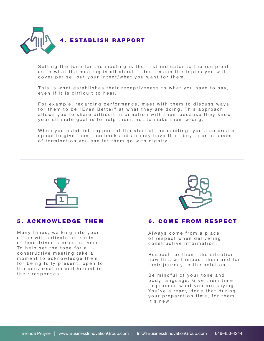

Setting the tone for the meeting is the first indicator to the recipient as to what the meeting is all about. I don't mean the topics you will cover per se, but your intent/what you want for them.

This is what establishes their receptiveness to what you have to say, even if it is difficult to hear.

For example, regarding performance, meet with them to discuss ways for them to be "Even Better" at what they are doing. This approach allows you to share difficult information with them because they know your ultimate goal is to help them, not to make them wrong.

When you establish rapport at the start of the meeting, you also create space to give them feedback and already have their buy in or in cases of termination you can let them go with dignity.



#### 5 . A C K N O W L E D G E T H E M

Many times, walking into your office will activate all kinds of fear driven stories in them. To help set the tone for a constructive meeting take a moment to acknowledge them for being fully present, open to the conversation and honest in their responses.



#### **6. COME FROM RESPECT**

Always come from a place of respect when delivering constructive information.

Respect for them, the situation, how this will impact them and for their journey to the solution.

Be mindful of your tone and body language. Give them time to process what you are saying. You've already done that during your preparation time, for them it's new.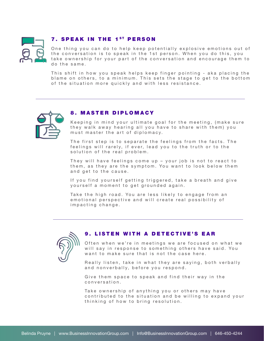

## **7. SPEAK IN THE 1ST PERSON**

One thing you can do to help keep potentially explosive emotions out of the conversation is to speak in the 1st person. When you do this, you take ownership for your part of the conversation and encourage them to do the same.

This shift in how you speak helps keep finger pointing - aka placing the blame on others, to a minimum. This sets the stage to get to the bottom of the situation more quickly and with less resistance.



### 8. MASTER DIPLOMACY

Keeping in mind your ultimate goal for the meeting, (make sure they walk away hearing all you have to share with them) you must master the art of diplomacy.

The first step is to separate the feelings from the facts. The feelings will rarely, if ever, lead you to the truth or to the solution of the real problem.

They will have feelings come up - your job is not to react to them, as they are the symptom. You want to look below them and get to the cause.

If you find yourself getting triggered, take a breath and give yourself a moment to get grounded again.

Take the high road. You are less likely to engage from an emotional perspective and will create real possibility of impacting change.



# 9. LISTEN WITH A DETECTIVE'S EAR

Often when we're in meetings we are focused on what we will say in response to something others have said. You want to make sure that is not the case here.

Really listen, take in what they are saying, both verbally and nonverbally, before you respond.

Give them space to speak and find their way in the conversation.

Take ownership of anything you or others may have contributed to the situation and be willing to expand your thinking of how to bring resolution.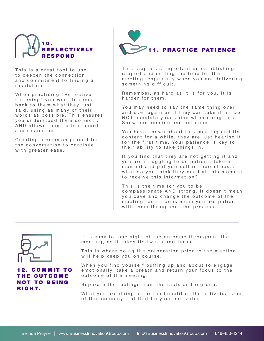

This is a great tool to use to deepen the connection and commitment to finding a resolution.

When practicing "Reflective Listening" you want to repeat back to them what they just said, using as many of their words as possible. This ensures you understood them correctly AND allows them to feel heard and respected.

Creating a common ground for the conversation to continue with greater ease.



This step is as important as establishing rapport and setting the tone for the meeting, especially when you are delivering something difficult.

Remember, as hard as it is for you, it is harder for them.

You may need to say the same thing over and over again until they can take it in. Do NOT escalate your voice when doing this. Show compassion and patience.

You have known about this meeting and its content for a while, they are just hearing it for the first time. Your patience is key to their ability to take things in.

If you find that they are not getting it and you are struggling to be patient, take a moment and put yourself in their shoes… what do you think they need at this moment to receive this information?

This is the time for you to be compassionate AND strong. It doesn't mean you cave and change the outcome of the meeting, but it does mean you are patient with them throughout the process



**COMMIT TO** THE OUTCOME **NOT TO BEING** RIGHT.

It is easy to lose sight of the outcome throughout the meeting, as it takes its twists and turns.

This is where doing the preparation prior to the meeting will help keep you on course.

When you find yourself puffing up and about to engage emotionally, take a breath and return your focus to the outcome of the meeting.

Separate the feelings from the facts and regroup.

What you are doing is for the benefit of the individual and of the company. Let that be your motivator.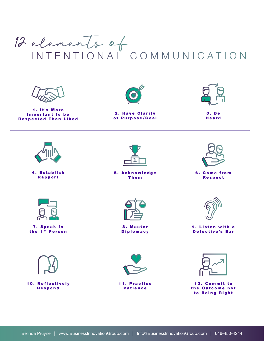# 12 elements of INTENTIONAL COMMUNICATION